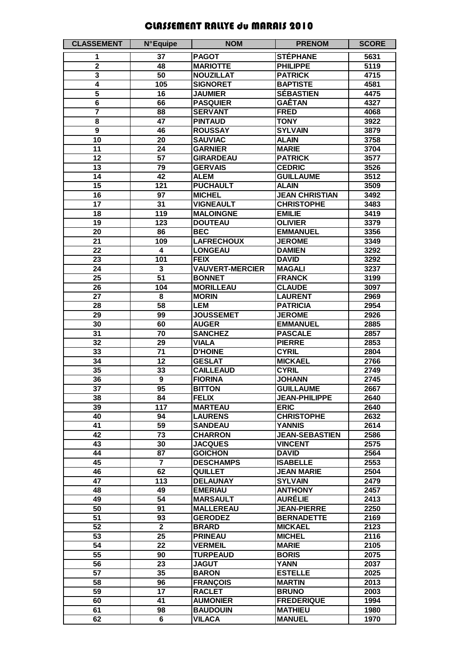## CLASSEMENT RALLYE du MARAIS 2010

| <b>CLASSEMENT</b>                  | <b>N°Equipe</b>         | <b>NOM</b>                        | <b>PRENOM</b>                    | <b>SCORE</b> |
|------------------------------------|-------------------------|-----------------------------------|----------------------------------|--------------|
| 1                                  | 37                      | <b>PAGOT</b>                      | <b>STÉPHANE</b>                  | 5631         |
| $\overline{\mathbf{2}}$            | 48                      | <b>MARIOTTE</b>                   | <b>PHILIPPE</b>                  | 5119         |
| 3                                  | 50                      | <b>NOUZILLAT</b>                  | <b>PATRICK</b>                   | 4715         |
| 4                                  | 105                     | <b>SIGNORET</b>                   | <b>BAPTISTE</b>                  | 4581         |
| $\overline{\mathbf{5}}$            | 16                      | <b>JAUMIER</b>                    | <b>SÉBASTIEN</b>                 | 4475         |
| 6                                  | 66                      | <b>PASQUIER</b>                   | <b>GAÊTAN</b>                    | 4327         |
| 7                                  | 88                      | <b>SERVANT</b>                    | <b>FRED</b>                      | 4068         |
| 8                                  | 47                      | <b>PINTAUD</b>                    | <b>TONY</b>                      | 3922         |
| 9                                  | 46                      | <b>ROUSSAY</b>                    | <b>SYLVAIN</b>                   | 3879         |
| 10                                 | 20                      | <b>SAUVIAC</b>                    | <b>ALAIN</b>                     | 3758         |
| 11                                 | 24                      | <b>GARNIER</b>                    | <b>MARIE</b>                     | 3704         |
| 12                                 | 57                      | <b>GIRARDEAU</b>                  | <b>PATRICK</b>                   | 3577         |
| 13                                 | 79                      | <b>GERVAIS</b>                    | <b>CEDRIC</b>                    | 3526         |
| 14                                 | 42                      | <b>ALEM</b>                       | <b>GUILLAUME</b>                 | 3512         |
| $\overline{15}$                    | 121                     | <b>PUCHAULT</b>                   | <b>ALAIN</b>                     | 3509         |
| 16                                 | 97                      | <b>MICHEL</b>                     | <b>JEAN CHRISTIAN</b>            | 3492         |
| 17                                 | 31                      | <b>VIGNEAULT</b>                  | <b>CHRISTOPHE</b>                | 3483         |
| 18                                 | 119                     | <b>MALOINGNE</b>                  | <b>EMILIE</b>                    | 3419         |
| 19                                 | 123                     | <b>DOUTEAU</b>                    | <b>OLIVIER</b>                   | 3379         |
| 20                                 | 86                      | <b>BEC</b>                        | <b>EMMANUEL</b>                  | 3356         |
| $\overline{21}$                    | 109                     | <b>LAFRECHOUX</b>                 | <b>JEROME</b>                    | 3349         |
| $\overline{22}$                    | 4                       | <b>LONGEAU</b>                    | <b>DAMIEN</b>                    | 3292         |
| $\overline{23}$                    | 101                     | <b>FEIX</b>                       | <b>DAVID</b>                     | 3292         |
| $\overline{24}$<br>$\overline{25}$ | 3<br>51                 | <b>VAUVERT-MERCIER</b>            | <b>MAGALI</b><br><b>FRANCK</b>   | 3237<br>3199 |
| $\overline{26}$                    | 104                     | <b>BONNET</b><br><b>MORILLEAU</b> | <b>CLAUDE</b>                    | 3097         |
| $\overline{27}$                    | $\overline{\mathbf{8}}$ | <b>MORIN</b>                      | <b>LAURENT</b>                   | 2969         |
| $\overline{28}$                    | $\overline{58}$         | <b>LEM</b>                        | <b>PATRICIA</b>                  | 2954         |
| $\overline{29}$                    | 99                      | <b>JOUSSEMET</b>                  | <b>JEROME</b>                    | 2926         |
| $\overline{30}$                    | 60                      | <b>AUGER</b>                      | <b>EMMANUEL</b>                  | 2885         |
| $\overline{31}$                    | 70                      | <b>SANCHEZ</b>                    | <b>PASCALE</b>                   | 2857         |
| $\overline{32}$                    | 29                      | <b>VIALA</b>                      | <b>PIERRE</b>                    | 2853         |
| $\overline{33}$                    | $\overline{71}$         | <b>D'HOINE</b>                    | <b>CYRIL</b>                     | 2804         |
| $\overline{34}$                    | $\overline{12}$         | <b>GESLAT</b>                     | <b>MICKAEL</b>                   | 2766         |
| $\overline{35}$                    | 33                      | <b>CAILLEAUD</b>                  | <b>CYRIL</b>                     | 2749         |
| $\overline{36}$                    | $\overline{9}$          | <b>FIORINA</b>                    | <b>JOHANN</b>                    | 2745         |
| 37                                 | 95                      | <b>BITTON</b>                     | <b>GUILLAUME</b>                 | 2667         |
| $\overline{38}$                    | 84                      | <b>FELIX</b>                      | <b>JEAN-PHILIPPE</b>             | 2640         |
| 39                                 | 117                     | <b>MARTEAU</b>                    | <b>ERIC</b>                      | 2640         |
| 40                                 | 94                      | <b>LAURENS</b>                    | <b>CHRISTOPHE</b>                | 2632         |
| 41                                 | 59                      | <b>SANDEAU</b>                    | <b>YANNIS</b>                    | 2614         |
| 42                                 | $\overline{73}$         | <b>CHARRON</b>                    | <b>JEAN-SEBASTIEN</b>            | 2586         |
| 43                                 | 30                      | <b>JACQUES</b>                    | <b>VINCENT</b>                   | 2575         |
| 44                                 | 87                      | <b>GOICHON</b>                    | <b>DAVID</b>                     | 2564         |
| $\overline{45}$                    | $\overline{\mathbf{7}}$ | <b>DESCHAMPS</b>                  | <b>ISABELLE</b>                  | 2553         |
| 46                                 | 62                      | <b>QUILLET</b>                    | <b>JEAN MARIE</b>                | 2504         |
| 47<br>48                           | 113<br>49               | <b>DELAUNAY</b><br><b>EMERIAU</b> | <b>SYLVAIN</b><br><b>ANTHONY</b> | 2479<br>2457 |
| 49                                 | 54                      | <b>MARSAULT</b>                   | <b>AURÉLIE</b>                   | 2413         |
| 50                                 | 91                      | <b>MALLEREAU</b>                  | <b>JEAN-PIERRE</b>               | 2250         |
| $\overline{51}$                    | 93                      | <b>GERODEZ</b>                    | <b>BERNADETTE</b>                | 2169         |
| $\overline{52}$                    | $\overline{2}$          | <b>BRARD</b>                      | <b>MICKAEL</b>                   | 2123         |
| $\overline{53}$                    | 25                      | <b>PRINEAU</b>                    | <b>MICHEL</b>                    | 2116         |
| $\overline{54}$                    | $\overline{22}$         | <b>VERMEIL</b>                    | <b>MARIE</b>                     | 2105         |
| $\overline{55}$                    | 90                      | <b>TURPEAUD</b>                   | <b>BORIS</b>                     | 2075         |
| $\overline{56}$                    | 23                      | <b>JAGUT</b>                      | <b>YANN</b>                      | 2037         |
| $\overline{57}$                    | $\overline{35}$         | <b>BARON</b>                      | <b>ESTELLE</b>                   | 2025         |
| 58                                 | 96                      | <b>FRANÇOIS</b>                   | <b>MARTIN</b>                    | 2013         |
| 59                                 | 17                      | <b>RACLET</b>                     | <b>BRUNO</b>                     | 2003         |
| 60                                 | 41                      | <b>AUMONIER</b>                   | <b>FREDERIQUE</b>                | 1994         |
| 61                                 | 98                      | <b>BAUDOUIN</b>                   | <b>MATHIEU</b>                   | 1980         |
| 62                                 | 6                       | <b>VILACA</b>                     | <b>MANUEL</b>                    | 1970         |